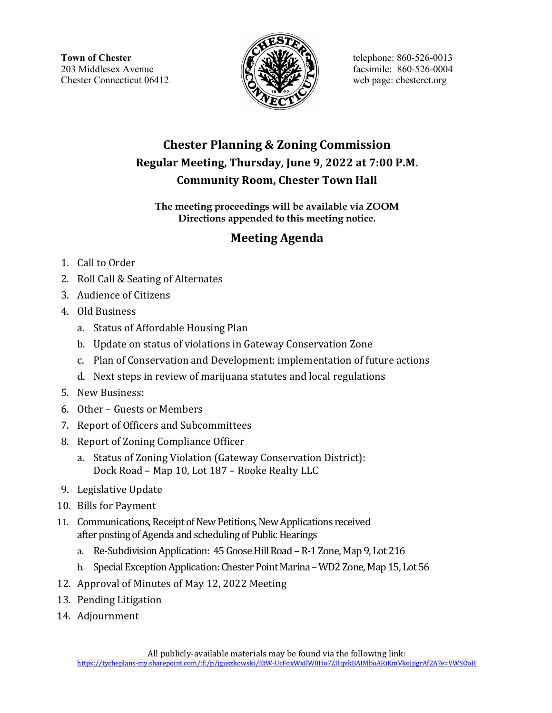

## Chester Planning & Zoning Commission Regular Meeting, Thursday, June 9, 2022 at 7:00 P.M. Community Room, Chester Town Hall

#### The meeting proceedings will be available via ZOOM Directions appended to this meeting notice.

### Meeting Agenda

- 1. Call to Order
- 2. Roll Call & Seating of Alternates
- 3. Audience of Citizens
- 4. Old Business
	- a. Status of Affordable Housing Plan
	- b. Update on status of violations in Gateway Conservation Zone
	- c. Plan of Conservation and Development: implementation of future actions
	- d. Next steps in review of marijuana statutes and local regulations
- 5. New Business:
- 6. Other Guests or Members
- 7. Report of Officers and Subcommittees
- 8. Report of Zoning Compliance Officer
	- a. Status of Zoning Violation (Gateway Conservation District): Dock Road – Map 10, Lot 187 – Rooke Realty LLC
- 9. Legislative Update
- 10. Bills for Payment
- 11. Communications, Receipt of New Petitions, New Applications received after posting of Agenda and scheduling of Public Hearings
	- a. Re-Subdivision Application: 45 Goose Hill Road R-1 Zone, Map 9, Lot 216
	- b. Special Exception Application: Chester Point Marina WD2 Zone, Map 15, Lot 56
- 12. Approval of Minutes of May 12, 2022 Meeting
- 13. Pending Litigation
- 14. Adjournment